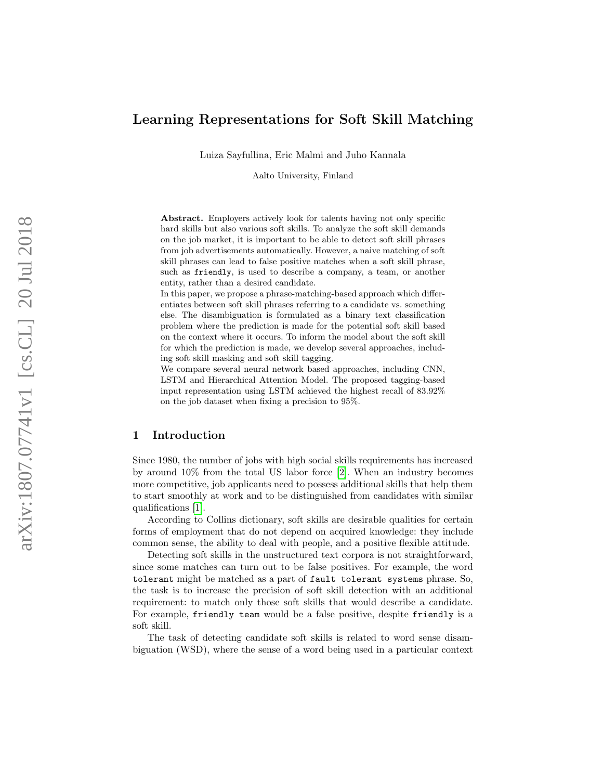# Learning Representations for Soft Skill Matching

Luiza Sayfullina, Eric Malmi and Juho Kannala

Aalto University, Finland

Abstract. Employers actively look for talents having not only specific hard skills but also various soft skills. To analyze the soft skill demands on the job market, it is important to be able to detect soft skill phrases from job advertisements automatically. However, a naive matching of soft skill phrases can lead to false positive matches when a soft skill phrase, such as friendly, is used to describe a company, a team, or another entity, rather than a desired candidate.

In this paper, we propose a phrase-matching-based approach which differentiates between soft skill phrases referring to a candidate vs. something else. The disambiguation is formulated as a binary text classification problem where the prediction is made for the potential soft skill based on the context where it occurs. To inform the model about the soft skill for which the prediction is made, we develop several approaches, including soft skill masking and soft skill tagging.

We compare several neural network based approaches, including CNN, LSTM and Hierarchical Attention Model. The proposed tagging-based input representation using LSTM achieved the highest recall of 83.92% on the job dataset when fixing a precision to 95%.

## 1 Introduction

Since 1980, the number of jobs with high social skills requirements has increased by around 10% from the total US labor force [\[2\]](#page-10-0). When an industry becomes more competitive, job applicants need to possess additional skills that help them to start smoothly at work and to be distinguished from candidates with similar qualifications [\[1\]](#page-10-1).

According to Collins dictionary, soft skills are desirable qualities for certain forms of employment that do not depend on acquired knowledge: they include common sense, the ability to deal with people, and a positive flexible attitude.

Detecting soft skills in the unstructured text corpora is not straightforward, since some matches can turn out to be false positives. For example, the word tolerant might be matched as a part of fault tolerant systems phrase. So, the task is to increase the precision of soft skill detection with an additional requirement: to match only those soft skills that would describe a candidate. For example, friendly team would be a false positive, despite friendly is a soft skill.

The task of detecting candidate soft skills is related to word sense disambiguation (WSD), where the sense of a word being used in a particular context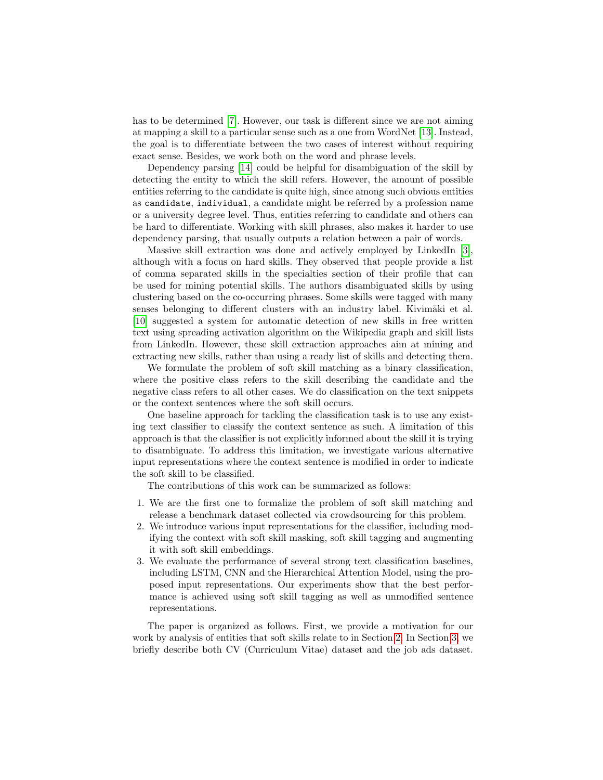has to be determined [\[7\]](#page-11-0). However, our task is different since we are not aiming at mapping a skill to a particular sense such as a one from WordNet [\[13\]](#page-11-1). Instead, the goal is to differentiate between the two cases of interest without requiring exact sense. Besides, we work both on the word and phrase levels.

Dependency parsing [\[14\]](#page-11-2) could be helpful for disambiguation of the skill by detecting the entity to which the skill refers. However, the amount of possible entities referring to the candidate is quite high, since among such obvious entities as candidate, individual, a candidate might be referred by a profession name or a university degree level. Thus, entities referring to candidate and others can be hard to differentiate. Working with skill phrases, also makes it harder to use dependency parsing, that usually outputs a relation between a pair of words.

Massive skill extraction was done and actively employed by LinkedIn [\[3\]](#page-10-2), although with a focus on hard skills. They observed that people provide a list of comma separated skills in the specialties section of their profile that can be used for mining potential skills. The authors disambiguated skills by using clustering based on the co-occurring phrases. Some skills were tagged with many senses belonging to different clusters with an industry label. Kivimäki et al. [\[10\]](#page-11-3) suggested a system for automatic detection of new skills in free written text using spreading activation algorithm on the Wikipedia graph and skill lists from LinkedIn. However, these skill extraction approaches aim at mining and extracting new skills, rather than using a ready list of skills and detecting them.

We formulate the problem of soft skill matching as a binary classification, where the positive class refers to the skill describing the candidate and the negative class refers to all other cases. We do classification on the text snippets or the context sentences where the soft skill occurs.

One baseline approach for tackling the classification task is to use any existing text classifier to classify the context sentence as such. A limitation of this approach is that the classifier is not explicitly informed about the skill it is trying to disambiguate. To address this limitation, we investigate various alternative input representations where the context sentence is modified in order to indicate the soft skill to be classified.

The contributions of this work can be summarized as follows:

- 1. We are the first one to formalize the problem of soft skill matching and release a benchmark dataset collected via crowdsourcing for this problem.
- 2. We introduce various input representations for the classifier, including modifying the context with soft skill masking, soft skill tagging and augmenting it with soft skill embeddings.
- 3. We evaluate the performance of several strong text classification baselines, including LSTM, CNN and the Hierarchical Attention Model, using the proposed input representations. Our experiments show that the best performance is achieved using soft skill tagging as well as unmodified sentence representations.

The paper is organized as follows. First, we provide a motivation for our work by analysis of entities that soft skills relate to in Section [2.](#page-2-0) In Section [3,](#page-3-0) we briefly describe both CV (Curriculum Vitae) dataset and the job ads dataset.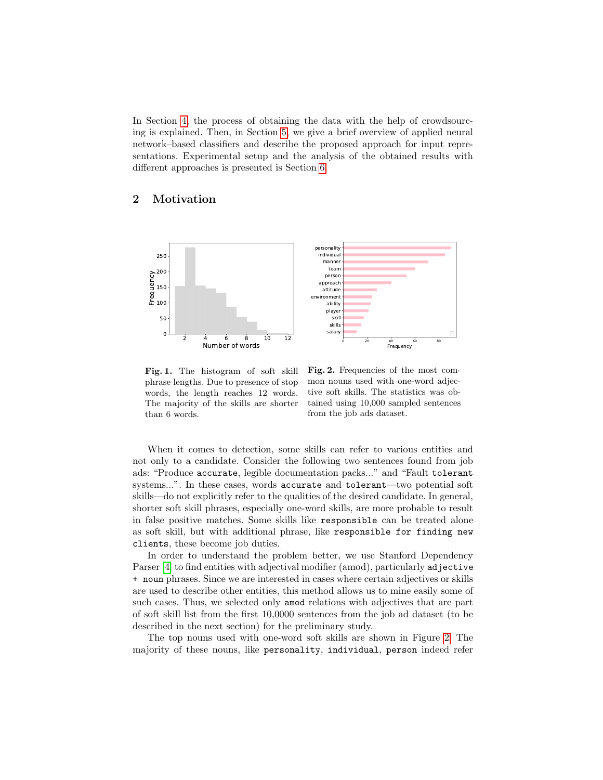In Section [4,](#page-4-0) the process of obtaining the data with the help of crowdsourcing is explained. Then, in Section [5,](#page-5-0) we give a brief overview of applied neural network–based classifiers and describe the proposed approach for input representations. Experimental setup and the analysis of the obtained results with different approaches is presented is Section [6.](#page-7-0)

## <span id="page-2-0"></span>2 Motivation



<span id="page-2-2"></span>Fig. 1. The histogram of soft skill phrase lengths. Due to presence of stop words, the length reaches 12 words. The majority of the skills are shorter than 6 words.

<span id="page-2-1"></span>Fig. 2. Frequencies of the most common nouns used with one-word adjective soft skills. The statistics was obtained using 10,000 sampled sentences from the job ads dataset.

When it comes to detection, some skills can refer to various entities and not only to a candidate. Consider the following two sentences found from job ads: "Produce accurate, legible documentation packs..." and "Fault tolerant systems...". In these cases, words accurate and tolerant—two potential soft skills—do not explicitly refer to the qualities of the desired candidate. In general, shorter soft skill phrases, especially one-word skills, are more probable to result in false positive matches. Some skills like responsible can be treated alone as soft skill, but with additional phrase, like responsible for finding new clients, these become job duties.

In order to understand the problem better, we use Stanford Dependency Parser [\[4\]](#page-11-4) to find entities with adjectival modifier (amod), particularly adjective + noun phrases. Since we are interested in cases where certain adjectives or skills are used to describe other entities, this method allows us to mine easily some of such cases. Thus, we selected only amod relations with adjectives that are part of soft skill list from the first 10,0000 sentences from the job ad dataset (to be described in the next section) for the preliminary study.

The top nouns used with one-word soft skills are shown in Figure [2.](#page-2-1) The majority of these nouns, like personality, individual, person indeed refer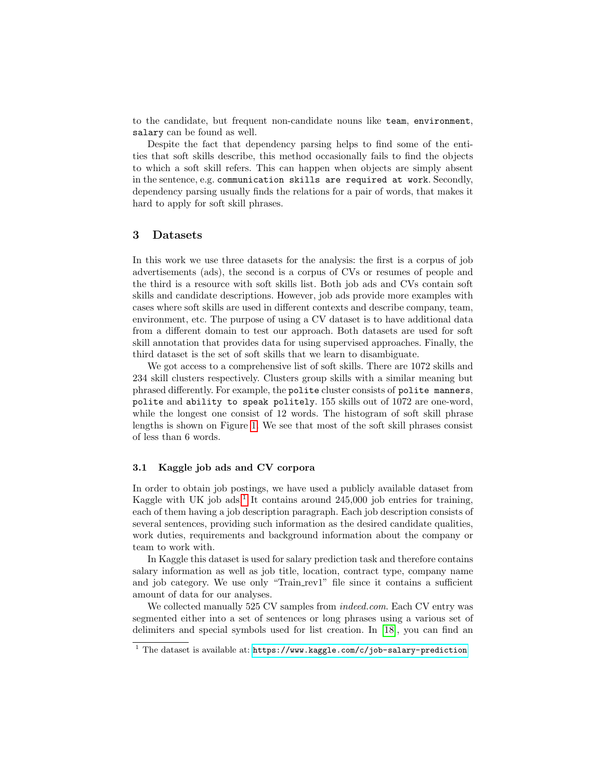to the candidate, but frequent non-candidate nouns like team, environment, salary can be found as well.

Despite the fact that dependency parsing helps to find some of the entities that soft skills describe, this method occasionally fails to find the objects to which a soft skill refers. This can happen when objects are simply absent in the sentence, e.g. communication skills are required at work. Secondly, dependency parsing usually finds the relations for a pair of words, that makes it hard to apply for soft skill phrases.

## <span id="page-3-0"></span>3 Datasets

In this work we use three datasets for the analysis: the first is a corpus of job advertisements (ads), the second is a corpus of CVs or resumes of people and the third is a resource with soft skills list. Both job ads and CVs contain soft skills and candidate descriptions. However, job ads provide more examples with cases where soft skills are used in different contexts and describe company, team, environment, etc. The purpose of using a CV dataset is to have additional data from a different domain to test our approach. Both datasets are used for soft skill annotation that provides data for using supervised approaches. Finally, the third dataset is the set of soft skills that we learn to disambiguate.

We got access to a comprehensive list of soft skills. There are 1072 skills and 234 skill clusters respectively. Clusters group skills with a similar meaning but phrased differently. For example, the polite cluster consists of polite manners, polite and ability to speak politely. 155 skills out of 1072 are one-word, while the longest one consist of 12 words. The histogram of soft skill phrase lengths is shown on Figure [1.](#page-2-2) We see that most of the soft skill phrases consist of less than 6 words.

### 3.1 Kaggle job ads and CV corpora

In order to obtain job postings, we have used a publicly available dataset from Kaggle with UK job ads.<sup>[1](#page-3-1)</sup> It contains around  $245,000$  job entries for training, each of them having a job description paragraph. Each job description consists of several sentences, providing such information as the desired candidate qualities, work duties, requirements and background information about the company or team to work with.

In Kaggle this dataset is used for salary prediction task and therefore contains salary information as well as job title, location, contract type, company name and job category. We use only "Train rev1" file since it contains a sufficient amount of data for our analyses.

We collected manually 525 CV samples from indeed.com. Each CV entry was segmented either into a set of sentences or long phrases using a various set of delimiters and special symbols used for list creation. In [\[18\]](#page-11-5), you can find an

<span id="page-3-1"></span> $\frac{1}{1}$  The dataset is available at: <https://www.kaggle.com/c/job-salary-prediction>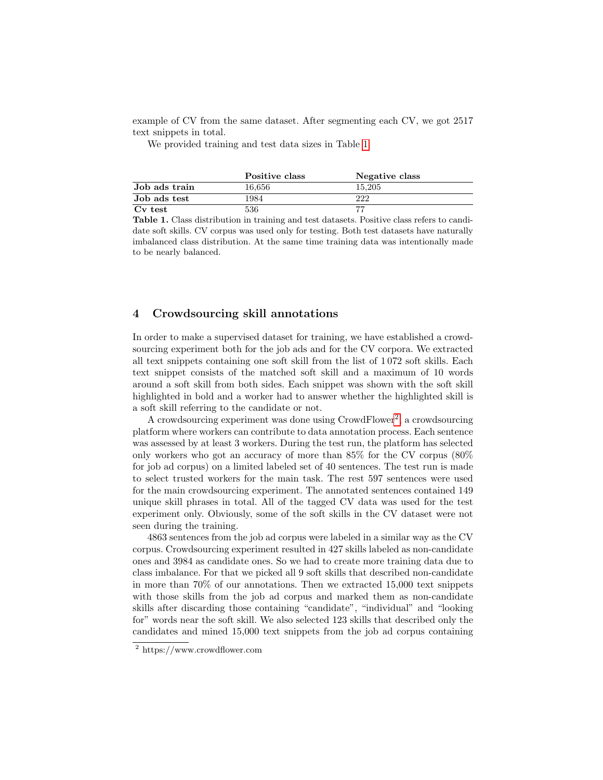example of CV from the same dataset. After segmenting each CV, we got 2517 text snippets in total.

We provided training and test data sizes in Table [1.](#page-4-1)

|               | Positive class | Negative class |
|---------------|----------------|----------------|
| Job ads train | 16,656         | 15.205         |
| Job ads test  | 1984           | 222            |
| $Cv$ test     | 536            | 77             |

<span id="page-4-1"></span>Table 1. Class distribution in training and test datasets. Positive class refers to candidate soft skills. CV corpus was used only for testing. Both test datasets have naturally imbalanced class distribution. At the same time training data was intentionally made to be nearly balanced.

## <span id="page-4-0"></span>4 Crowdsourcing skill annotations

In order to make a supervised dataset for training, we have established a crowdsourcing experiment both for the job ads and for the CV corpora. We extracted all text snippets containing one soft skill from the list of 1 072 soft skills. Each text snippet consists of the matched soft skill and a maximum of 10 words around a soft skill from both sides. Each snippet was shown with the soft skill highlighted in bold and a worker had to answer whether the highlighted skill is a soft skill referring to the candidate or not.

A crowdsourcing experiment was done using CrowdFlower<sup>[2](#page-4-2)</sup>, a crowdsourcing platform where workers can contribute to data annotation process. Each sentence was assessed by at least 3 workers. During the test run, the platform has selected only workers who got an accuracy of more than 85% for the CV corpus (80% for job ad corpus) on a limited labeled set of 40 sentences. The test run is made to select trusted workers for the main task. The rest 597 sentences were used for the main crowdsourcing experiment. The annotated sentences contained 149 unique skill phrases in total. All of the tagged CV data was used for the test experiment only. Obviously, some of the soft skills in the CV dataset were not seen during the training.

4863 sentences from the job ad corpus were labeled in a similar way as the CV corpus. Crowdsourcing experiment resulted in 427 skills labeled as non-candidate ones and 3984 as candidate ones. So we had to create more training data due to class imbalance. For that we picked all 9 soft skills that described non-candidate in more than 70% of our annotations. Then we extracted 15,000 text snippets with those skills from the job ad corpus and marked them as non-candidate skills after discarding those containing "candidate", "individual" and "looking for" words near the soft skill. We also selected 123 skills that described only the candidates and mined 15,000 text snippets from the job ad corpus containing

<span id="page-4-2"></span><sup>2</sup> https://www.crowdflower.com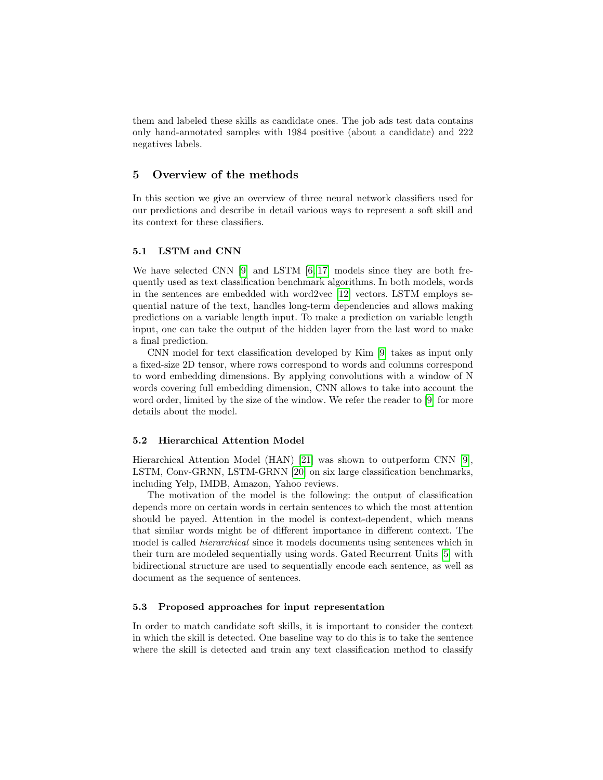them and labeled these skills as candidate ones. The job ads test data contains only hand-annotated samples with 1984 positive (about a candidate) and 222 negatives labels.

## <span id="page-5-0"></span>5 Overview of the methods

In this section we give an overview of three neural network classifiers used for our predictions and describe in detail various ways to represent a soft skill and its context for these classifiers.

## 5.1 LSTM and CNN

We have selected CNN [\[9\]](#page-11-6) and LSTM [\[6,](#page-11-7) [17\]](#page-11-8) models since they are both frequently used as text classification benchmark algorithms. In both models, words in the sentences are embedded with word2vec [\[12\]](#page-11-9) vectors. LSTM employs sequential nature of the text, handles long-term dependencies and allows making predictions on a variable length input. To make a prediction on variable length input, one can take the output of the hidden layer from the last word to make a final prediction.

CNN model for text classification developed by Kim [\[9\]](#page-11-6) takes as input only a fixed-size 2D tensor, where rows correspond to words and columns correspond to word embedding dimensions. By applying convolutions with a window of N words covering full embedding dimension, CNN allows to take into account the word order, limited by the size of the window. We refer the reader to [\[9\]](#page-11-6) for more details about the model.

#### 5.2 Hierarchical Attention Model

Hierarchical Attention Model (HAN) [\[21\]](#page-11-10) was shown to outperform CNN [\[9\]](#page-11-6), LSTM, Conv-GRNN, LSTM-GRNN [\[20\]](#page-11-11) on six large classification benchmarks, including Yelp, IMDB, Amazon, Yahoo reviews.

The motivation of the model is the following: the output of classification depends more on certain words in certain sentences to which the most attention should be payed. Attention in the model is context-dependent, which means that similar words might be of different importance in different context. The model is called *hierarchical* since it models documents using sentences which in their turn are modeled sequentially using words. Gated Recurrent Units [\[5\]](#page-11-12) with bidirectional structure are used to sequentially encode each sentence, as well as document as the sequence of sentences.

## 5.3 Proposed approaches for input representation

In order to match candidate soft skills, it is important to consider the context in which the skill is detected. One baseline way to do this is to take the sentence where the skill is detected and train any text classification method to classify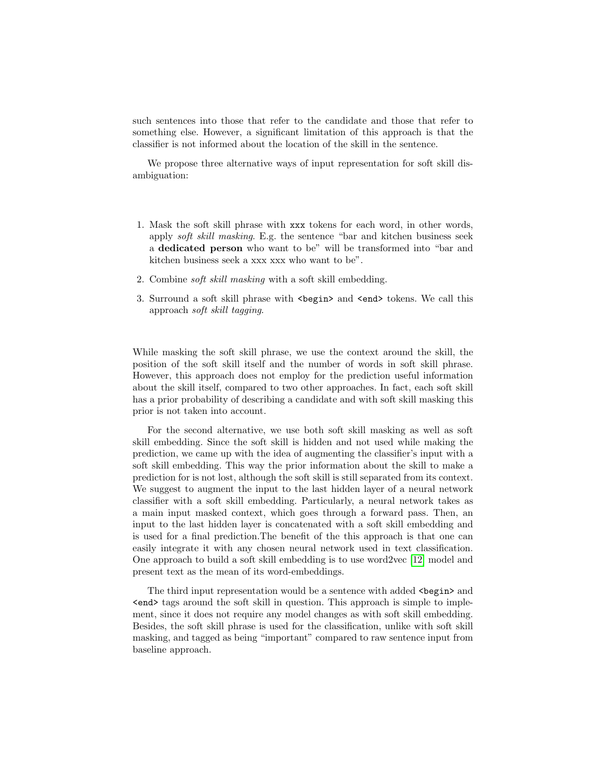such sentences into those that refer to the candidate and those that refer to something else. However, a significant limitation of this approach is that the classifier is not informed about the location of the skill in the sentence.

We propose three alternative ways of input representation for soft skill disambiguation:

- 1. Mask the soft skill phrase with xxx tokens for each word, in other words, apply soft skill masking. E.g. the sentence "bar and kitchen business seek a dedicated person who want to be" will be transformed into "bar and kitchen business seek a xxx xxx who want to be".
- 2. Combine soft skill masking with a soft skill embedding.
- 3. Surround a soft skill phrase with <br/>begin> and <end> tokens. We call this approach soft skill tagging.

While masking the soft skill phrase, we use the context around the skill, the position of the soft skill itself and the number of words in soft skill phrase. However, this approach does not employ for the prediction useful information about the skill itself, compared to two other approaches. In fact, each soft skill has a prior probability of describing a candidate and with soft skill masking this prior is not taken into account.

For the second alternative, we use both soft skill masking as well as soft skill embedding. Since the soft skill is hidden and not used while making the prediction, we came up with the idea of augmenting the classifier's input with a soft skill embedding. This way the prior information about the skill to make a prediction for is not lost, although the soft skill is still separated from its context. We suggest to augment the input to the last hidden layer of a neural network classifier with a soft skill embedding. Particularly, a neural network takes as a main input masked context, which goes through a forward pass. Then, an input to the last hidden layer is concatenated with a soft skill embedding and is used for a final prediction.The benefit of the this approach is that one can easily integrate it with any chosen neural network used in text classification. One approach to build a soft skill embedding is to use word2vec [\[12\]](#page-11-9) model and present text as the mean of its word-embeddings.

The third input representation would be a sentence with added <br/> **Stepsin>** and <end> tags around the soft skill in question. This approach is simple to implement, since it does not require any model changes as with soft skill embedding. Besides, the soft skill phrase is used for the classification, unlike with soft skill masking, and tagged as being "important" compared to raw sentence input from baseline approach.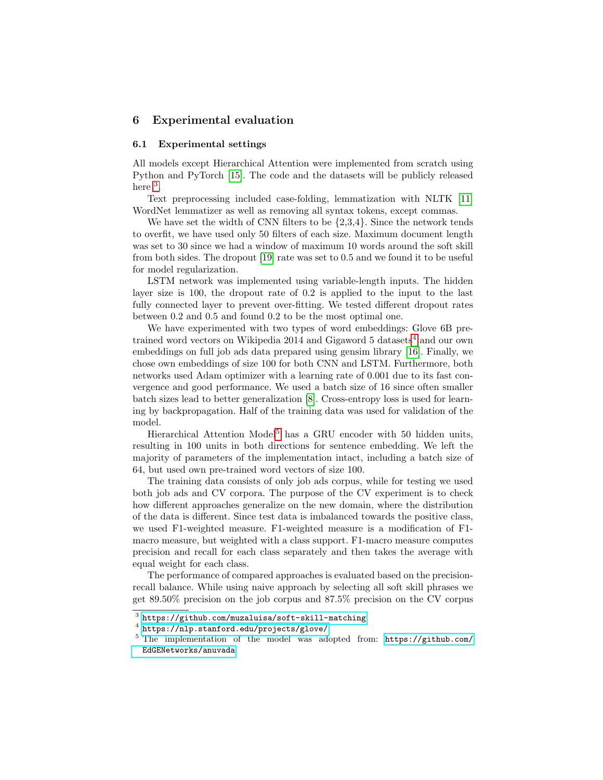## <span id="page-7-0"></span>6 Experimental evaluation

## 6.1 Experimental settings

All models except Hierarchical Attention were implemented from scratch using Python and PyTorch [\[15\]](#page-11-13). The code and the datasets will be publicly released here <sup>[3](#page-7-1)</sup>.

Text preprocessing included case-folding, lemmatization with NLTK [\[11\]](#page-11-14) WordNet lemmatizer as well as removing all syntax tokens, except commas.

We have set the width of CNN filters to be  $\{2,3,4\}$ . Since the network tends to overfit, we have used only 50 filters of each size. Maximum document length was set to 30 since we had a window of maximum 10 words around the soft skill from both sides. The dropout [\[19\]](#page-11-15) rate was set to 0.5 and we found it to be useful for model regularization.

LSTM network was implemented using variable-length inputs. The hidden layer size is 100, the dropout rate of 0.2 is applied to the input to the last fully connected layer to prevent over-fitting. We tested different dropout rates between 0.2 and 0.5 and found 0.2 to be the most optimal one.

We have experimented with two types of word embeddings: Glove 6B pre-trained word vectors on Wikipedia 201[4](#page-7-2) and Gigaword  $5$  datasets<sup>4</sup> and our own embeddings on full job ads data prepared using gensim library [\[16\]](#page-11-16). Finally, we chose own embeddings of size 100 for both CNN and LSTM. Furthermore, both networks used Adam optimizer with a learning rate of 0.001 due to its fast convergence and good performance. We used a batch size of 16 since often smaller batch sizes lead to better generalization [\[8\]](#page-11-17). Cross-entropy loss is used for learning by backpropagation. Half of the training data was used for validation of the model.

Hierarchical Attention Model<sup>[5](#page-7-3)</sup> has a GRU encoder with 50 hidden units, resulting in 100 units in both directions for sentence embedding. We left the majority of parameters of the implementation intact, including a batch size of 64, but used own pre-trained word vectors of size 100.

The training data consists of only job ads corpus, while for testing we used both job ads and CV corpora. The purpose of the CV experiment is to check how different approaches generalize on the new domain, where the distribution of the data is different. Since test data is imbalanced towards the positive class, we used F1-weighted measure. F1-weighted measure is a modification of F1 macro measure, but weighted with a class support. F1-macro measure computes precision and recall for each class separately and then takes the average with equal weight for each class.

The performance of compared approaches is evaluated based on the precisionrecall balance. While using naive approach by selecting all soft skill phrases we get 89.50% precision on the job corpus and 87.5% precision on the CV corpus

<span id="page-7-1"></span> $^3$  <https://github.com/muzaluisa/soft-skill-matching>

<span id="page-7-2"></span><sup>4</sup> <https://nlp.stanford.edu/projects/glove/>

<span id="page-7-3"></span><sup>5</sup> The implementation of the model was adopted from: [https://github.com/](https://github.com/EdGENetworks/anuvada) [EdGENetworks/anuvada](https://github.com/EdGENetworks/anuvada)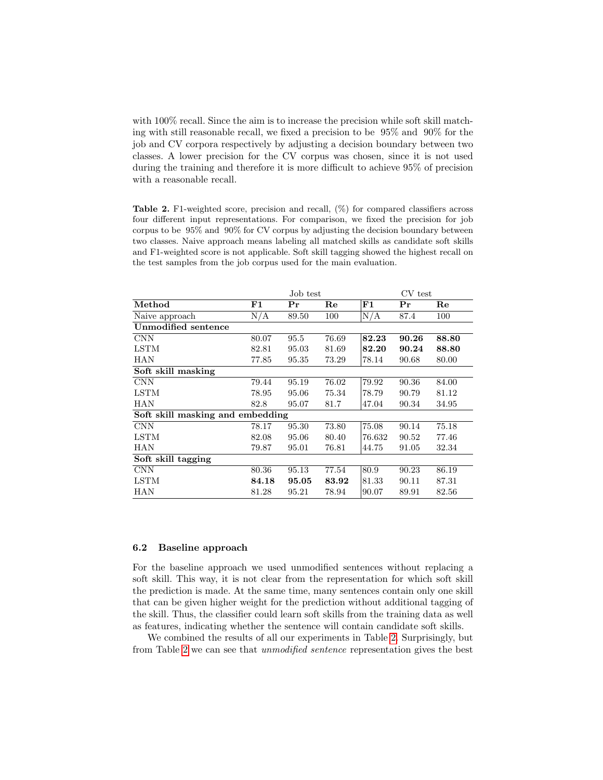with  $100\%$  recall. Since the aim is to increase the precision while soft skill matching with still reasonable recall, we fixed a precision to be 95% and 90% for the job and CV corpora respectively by adjusting a decision boundary between two classes. A lower precision for the CV corpus was chosen, since it is not used during the training and therefore it is more difficult to achieve 95% of precision with a reasonable recall.

<span id="page-8-0"></span>Table 2. F1-weighted score, precision and recall,  $(\%)$  for compared classifiers across four different input representations. For comparison, we fixed the precision for job corpus to be 95% and 90% for CV corpus by adjusting the decision boundary between two classes. Naive approach means labeling all matched skills as candidate soft skills and F1-weighted score is not applicable. Soft skill tagging showed the highest recall on the test samples from the job corpus used for the main evaluation.

|                                  |            | Job test |       |        | CV test |               |  |  |
|----------------------------------|------------|----------|-------|--------|---------|---------------|--|--|
| Method                           | ${\bf F1}$ | Pr       | Re    | F1     | Pr      | $\mathbf{Re}$ |  |  |
| Naive approach                   | N/A        | 89.50    | 100   | N/A    | 87.4    | 100           |  |  |
| Unmodified sentence              |            |          |       |        |         |               |  |  |
| <b>CNN</b>                       | 80.07      | 95.5     | 76.69 | 82.23  | 90.26   | 88.80         |  |  |
| <b>LSTM</b>                      | 82.81      | 95.03    | 81.69 | 82.20  | 90.24   | 88.80         |  |  |
| HAN                              | 77.85      | 95.35    | 73.29 | 78.14  | 90.68   | 80.00         |  |  |
| Soft skill masking               |            |          |       |        |         |               |  |  |
| <b>CNN</b>                       | 79.44      | 95.19    | 76.02 | 79.92  | 90.36   | 84.00         |  |  |
| <b>LSTM</b>                      | 78.95      | 95.06    | 75.34 | 78.79  | 90.79   | 81.12         |  |  |
| <b>HAN</b>                       | 82.8       | 95.07    | 81.7  | 47.04  | 90.34   | 34.95         |  |  |
| Soft skill masking and embedding |            |          |       |        |         |               |  |  |
| <b>CNN</b>                       | 78.17      | 95.30    | 73.80 | 75.08  | 90.14   | 75.18         |  |  |
| LSTM                             | 82.08      | 95.06    | 80.40 | 76.632 | 90.52   | 77.46         |  |  |
| HAN                              | 79.87      | 95.01    | 76.81 | 44.75  | 91.05   | 32.34         |  |  |
| Soft skill tagging               |            |          |       |        |         |               |  |  |
| <b>CNN</b>                       | 80.36      | 95.13    | 77.54 | 80.9   | 90.23   | 86.19         |  |  |
| <b>LSTM</b>                      | 84.18      | 95.05    | 83.92 | 81.33  | 90.11   | 87.31         |  |  |
| HAN                              | 81.28      | 95.21    | 78.94 | 90.07  | 89.91   | 82.56         |  |  |

#### 6.2 Baseline approach

For the baseline approach we used unmodified sentences without replacing a soft skill. This way, it is not clear from the representation for which soft skill the prediction is made. At the same time, many sentences contain only one skill that can be given higher weight for the prediction without additional tagging of the skill. Thus, the classifier could learn soft skills from the training data as well as features, indicating whether the sentence will contain candidate soft skills.

We combined the results of all our experiments in Table [2.](#page-8-0) Surprisingly, but from Table [2](#page-8-0) we can see that unmodified sentence representation gives the best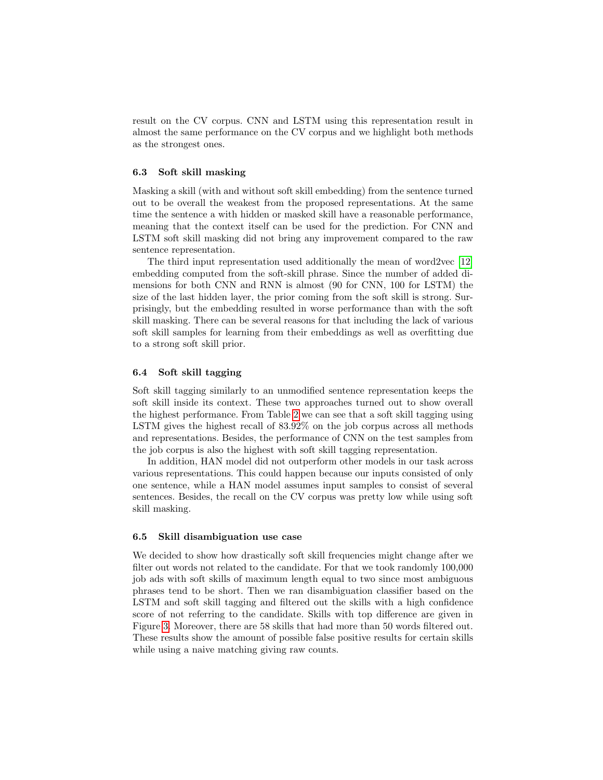result on the CV corpus. CNN and LSTM using this representation result in almost the same performance on the CV corpus and we highlight both methods as the strongest ones.

## 6.3 Soft skill masking

Masking a skill (with and without soft skill embedding) from the sentence turned out to be overall the weakest from the proposed representations. At the same time the sentence a with hidden or masked skill have a reasonable performance, meaning that the context itself can be used for the prediction. For CNN and LSTM soft skill masking did not bring any improvement compared to the raw sentence representation.

The third input representation used additionally the mean of word2vec [\[12\]](#page-11-9) embedding computed from the soft-skill phrase. Since the number of added dimensions for both CNN and RNN is almost (90 for CNN, 100 for LSTM) the size of the last hidden layer, the prior coming from the soft skill is strong. Surprisingly, but the embedding resulted in worse performance than with the soft skill masking. There can be several reasons for that including the lack of various soft skill samples for learning from their embeddings as well as overfitting due to a strong soft skill prior.

## 6.4 Soft skill tagging

Soft skill tagging similarly to an unmodified sentence representation keeps the soft skill inside its context. These two approaches turned out to show overall the highest performance. From Table [2](#page-8-0) we can see that a soft skill tagging using LSTM gives the highest recall of 83.92% on the job corpus across all methods and representations. Besides, the performance of CNN on the test samples from the job corpus is also the highest with soft skill tagging representation.

In addition, HAN model did not outperform other models in our task across various representations. This could happen because our inputs consisted of only one sentence, while a HAN model assumes input samples to consist of several sentences. Besides, the recall on the CV corpus was pretty low while using soft skill masking.

#### 6.5 Skill disambiguation use case

We decided to show how drastically soft skill frequencies might change after we filter out words not related to the candidate. For that we took randomly 100,000 job ads with soft skills of maximum length equal to two since most ambiguous phrases tend to be short. Then we ran disambiguation classifier based on the LSTM and soft skill tagging and filtered out the skills with a high confidence score of not referring to the candidate. Skills with top difference are given in Figure [3.](#page-10-3) Moreover, there are 58 skills that had more than 50 words filtered out. These results show the amount of possible false positive results for certain skills while using a naive matching giving raw counts.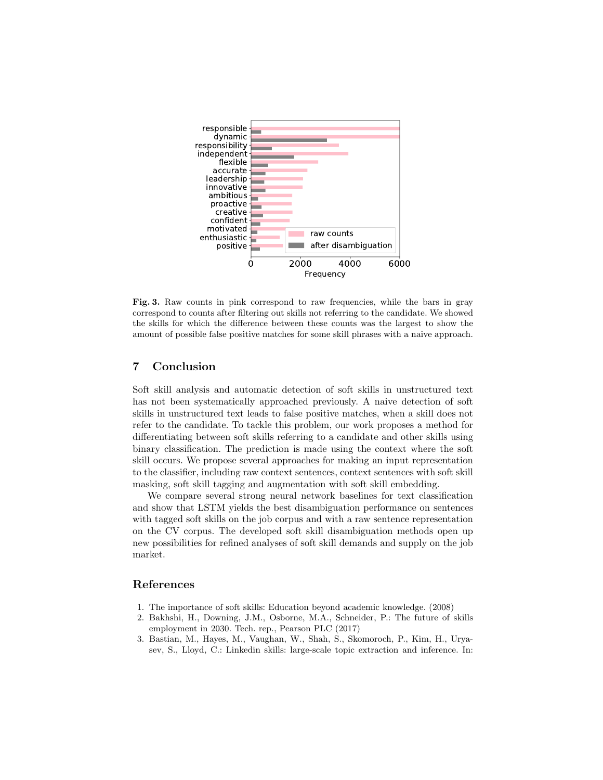

<span id="page-10-3"></span>Fig. 3. Raw counts in pink correspond to raw frequencies, while the bars in gray correspond to counts after filtering out skills not referring to the candidate. We showed the skills for which the difference between these counts was the largest to show the amount of possible false positive matches for some skill phrases with a naive approach.

## 7 Conclusion

Soft skill analysis and automatic detection of soft skills in unstructured text has not been systematically approached previously. A naive detection of soft skills in unstructured text leads to false positive matches, when a skill does not refer to the candidate. To tackle this problem, our work proposes a method for differentiating between soft skills referring to a candidate and other skills using binary classification. The prediction is made using the context where the soft skill occurs. We propose several approaches for making an input representation to the classifier, including raw context sentences, context sentences with soft skill masking, soft skill tagging and augmentation with soft skill embedding.

We compare several strong neural network baselines for text classification and show that LSTM yields the best disambiguation performance on sentences with tagged soft skills on the job corpus and with a raw sentence representation on the CV corpus. The developed soft skill disambiguation methods open up new possibilities for refined analyses of soft skill demands and supply on the job market.

# References

- <span id="page-10-1"></span>1. The importance of soft skills: Education beyond academic knowledge. (2008)
- <span id="page-10-0"></span>2. Bakhshi, H., Downing, J.M., Osborne, M.A., Schneider, P.: The future of skills employment in 2030. Tech. rep., Pearson PLC (2017)
- <span id="page-10-2"></span>3. Bastian, M., Hayes, M., Vaughan, W., Shah, S., Skomoroch, P., Kim, H., Uryasev, S., Lloyd, C.: Linkedin skills: large-scale topic extraction and inference. In: